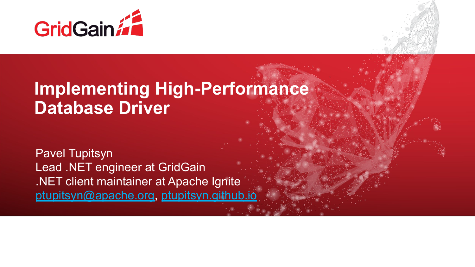



### **Implementing High-Performance Database Driver**

Pavel Tupitsyn Lead .NET engineer at GridGain .NET client maintainer at Apache Ignite [ptupitsyn@apache.org,](mailto:ptupitsyn@apache.org) [ptupitsyn.github.io](https://ptupitsyn.github.io/)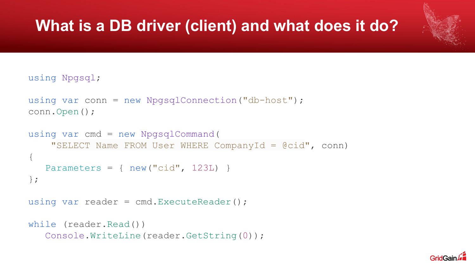### **What is a DB driver (client) and what does it do?**

using Npgsql;

```
using var conn = new NpgsqlConnection("db-host");
conn.Open();
```

```
using var cmd = new NpgsqlCommand(
     "SELECT Name FROM User WHERE CompanyId = @cid", conn)
{
   Parameters = \{ new("cid", 123L) \}};
using var reader = cmd.ExecuteReader();
```

```
while (reader.Read())
    Console.WriteLine(reader.GetString(0));
```
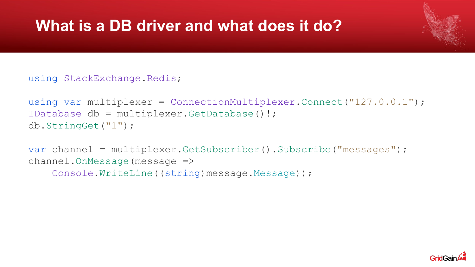### **What is a DB driver and what does it do?**

#### using StackExchange.Redis;

```
using var multiplexer = ConnectionMultiplexer.Connect("127.0.0.1");
IDatabase db = multiplexer.GetDatabase()!;
db.StringGet("1");
```

```
var channel = multiplexer.GetSubscriber().Subscribe("messages");
channel.OnMessage(message =>
     Console.WriteLine((string)message.Message));
```
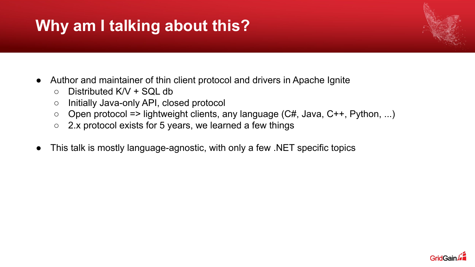# **Why am I talking about this?**

- Author and maintainer of thin client protocol and drivers in Apache Ignite
	- $\circ$  Distributed K/V + SQL db
	- Initially Java-only API, closed protocol
	- $\circ$  Open protocol => lightweight clients, any language (C#, Java, C++, Python, ...)
	- 2.x protocol exists for 5 years, we learned a few things
- This talk is mostly language-agnostic, with only a few .NET specific topics

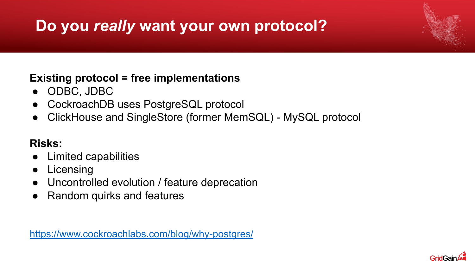# **Do you** *really* **want your own protocol?**

#### **Existing protocol = free implementations**

- ODBC, JDBC
- CockroachDB uses PostgreSQL protocol
- ClickHouse and SingleStore (former MemSQL) MySQL protocol

#### **Risks:**

- Limited capabilities
- Licensing
- Uncontrolled evolution / feature deprecation
- Random quirks and features

<https://www.cockroachlabs.com/blog/why-postgres/>

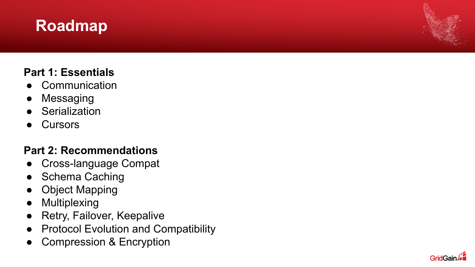### **Roadmap**

#### **Part 1: Essentials**

- Communication
- Messaging
- Serialization
- **Cursors**

#### **Part 2: Recommendations**

- Cross-language Compat
- Schema Caching
- Object Mapping
- Multiplexing
- Retry, Failover, Keepalive
- Protocol Evolution and Compatibility
- Compression & Encryption

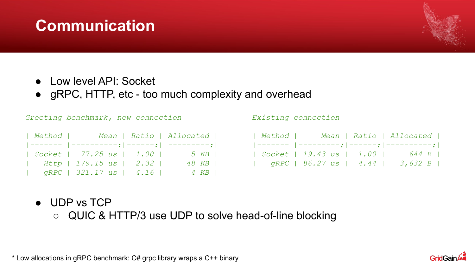### **Communication**

- Low level API: Socket
- gRPC, HTTP, etc too much complexity and overhead

*Greeting benchmark, new connection*

|  | Method   Mean   Ratio   Allocated                               |       |
|--|-----------------------------------------------------------------|-------|
|  | $  $ ------- $  $ ----------; $  $ ------; $  $ ---------; $  $ |       |
|  | Socket   77.25 us   1.00   5 KB                                 |       |
|  | $Http$   179.15 $us$   2.32                                     | 48 KB |
|  | $qRPC$   321.17 us   4.16                                       | 4 KB  |

*Existing connection*

|  |  |  |  | Method   Mean   Ratio   Allocated  |  |
|--|--|--|--|------------------------------------|--|
|  |  |  |  |                                    |  |
|  |  |  |  | Socket   19.43 us   1.00   644 B   |  |
|  |  |  |  | $qRPC$   86.27 us   4.44   3,632 B |  |

- UDP vs TCP
	- QUIC & HTTP/3 use UDP to solve head-of-line blocking

\* Low allocations in gRPC benchmark: C# grpc library wraps a C++ binary

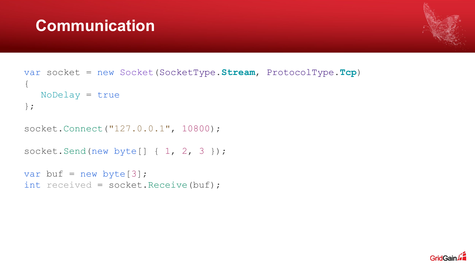### **Communication**



```
var socket = new Socket(SocketType.Stream, ProtocolType.Tcp)
{
    NoDelay = true
};
```

```
socket.Connect("127.0.0.1", 10800);
```

```
socket.Send(new byte[] { 1, 2, 3 });
```

```
var buf = new byte[3];
int received = socket. Receive (buf) ;
```
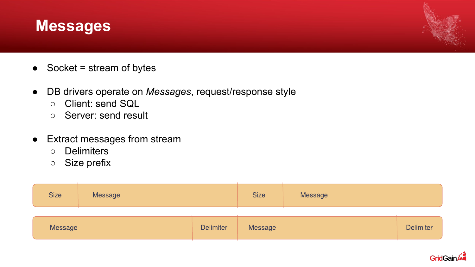#### **Messages**

- $\bullet$  Socket = stream of bytes
- DB drivers operate on *Messages*, request/response style
	- Client: send SQL
	- Server: send result
- Extract messages from stream
	- Delimiters
	- Size prefix

| <b>Size</b> | Message |                  | <b>Size</b> | Message |                  |
|-------------|---------|------------------|-------------|---------|------------------|
| Message     |         | <b>Delimiter</b> | Message     |         | <b>Delimiter</b> |

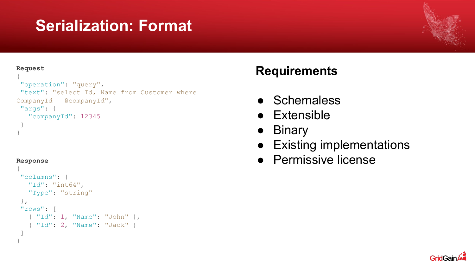### **Serialization: Format**

#### **Request**

```
{
 "operation": "query",
 "text": "select Id, Name from Customer where
CompanyId = @companyId",
 "args": {
    "companyId": 12345
 }
```
#### **Response**

}

```
{
"columns": {
   "Id": "int64",
   "Type": "string"
},
"rows": [
   { "Id": 1, "Name": "John" },
   { "Id": 2, "Name": "Jack" }
\Box}
```
#### **Requirements**

- Schemaless
- Extensible
- Binary
- Existing implementations
- Permissive license

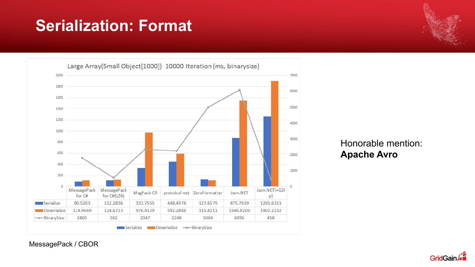### **Serialization: Format**

Large Array(Small Object[1000]) 10000 Iteration (ms, binarysize) 2000 7000 1800 6000 1600 5000 1400 1200 4000 1000 3000 800 600 2000 400 1000 200  $\mathbf{0}$  $\circ$ MessagePack MessagePack Json.NET(+GZi MsgPack-Cli protobuf-net ZeroFormatter Json.NET for C#(LZ4) for C#  $p)$ Serialize 90.5203 112.2836 333.7555 448.4978 127.6575 875.7939 1265.6311 114.9669 124.6713 1902.2232 Deserialize 976.4129 592.2848 115.8211 1546.8205 -BinarySize 2347 2248 5004 458 1803 562 6096 Serialize Deserialize -BinarySize

Honorable mention: **Apache Avro**

**GridGain** 

MessagePack / CBOR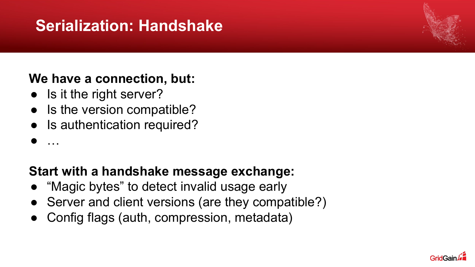### **Serialization: Handshake**

#### **We have a connection, but:**

- Is it the right server?
- Is the version compatible?
- Is authentication required?
- …

#### **Start with a handshake message exchange:**

- "Magic bytes" to detect invalid usage early
- Server and client versions (are they compatible?)
- Config flags (auth, compression, metadata)

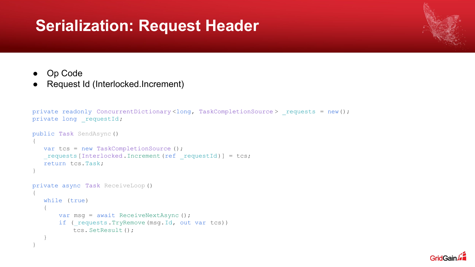#### **Serialization: Request Header**



- Op Code
- Request Id (Interlocked.Increment)

```
private readonly ConcurrentDictionary<long, TaskCompletionSource> requests = new();
private long requestId;
public Task SendAsync()
{
    var tcs = new TaskCompletionSource ();
   requests [Interlocked.Increment(ref requestId)] = tcs;
    return tcs.Task;
}
private async Task ReceiveLoop()
{
    while (true)
\{var msg = await ReceiveNextAsync () ;
       if ( requests.TryRemove(msg.Id, out var tcs))
            tcs. SetResult();
 }
}
```
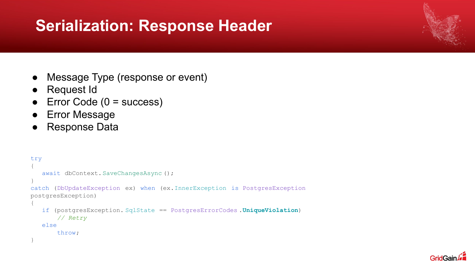### **Serialization: Response Header**

- Message Type (response or event)
- Request Id
- $\bullet$  Error Code (0 = success)
- Error Message
- Response Data

```
try
{
   await dbContext. SaveChangesAsync ();
}
catch (DbUpdateException ex) when (ex.InnerException is PostgresException
postgresException)
{
    if (postgresException. SqlState == PostgresErrorCodes .UniqueViolation)
        // Retry
    else
        throw;
}
```
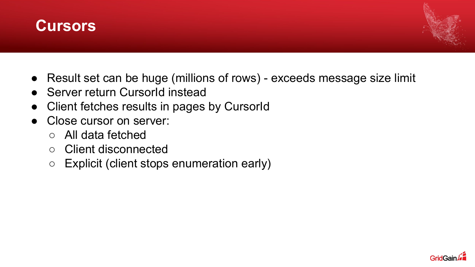



- Result set can be huge (millions of rows) exceeds message size limit
- Server return CursorId instead
- Client fetches results in pages by CursorId
- Close cursor on server:
	- All data fetched
	- Client disconnected
	- Explicit (client stops enumeration early)

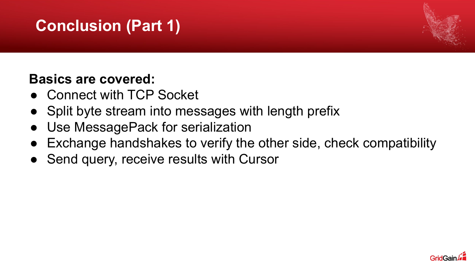# **Conclusion (Part 1)**



#### **Basics are covered:**

- Connect with TCP Socket
- Split byte stream into messages with length prefix
- Use MessagePack for serialization
- Exchange handshakes to verify the other side, check compatibility
- Send query, receive results with Cursor

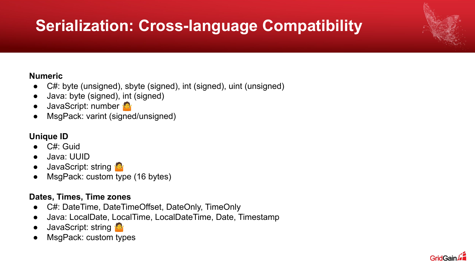# **Serialization: Cross-language Compatibility**

#### **Numeric**

- C#: byte (unsigned), sbyte (signed), int (signed), uint (unsigned)
- Java: byte (signed), int (signed)
- JavaScript: number
- MsgPack: varint (signed/unsigned)

#### **Unique ID**

- C#: Guid
- Java: UUID
- JavaScript: string
- MsgPack: custom type (16 bytes)

#### **Dates, Times, Time zones**

- C#: DateTime, DateTimeOffset, DateOnly, TimeOnly
- Java: LocalDate, LocalTime, LocalDateTime, Date, Timestamp
- JavaScript: string
- MsgPack: custom types

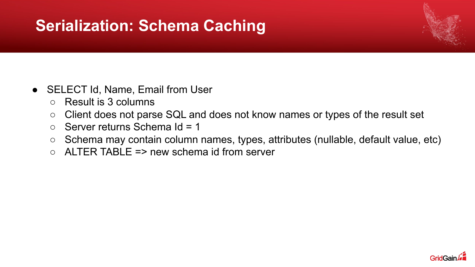### **Serialization: Schema Caching**

- SELECT Id, Name, Email from User
	- Result is 3 columns
	- Client does not parse SQL and does not know names or types of the result set
	- $\circ$  Server returns Schema Id = 1
	- Schema may contain column names, types, attributes (nullable, default value, etc)
	- $\circ$  ALTER TABLE => new schema id from server

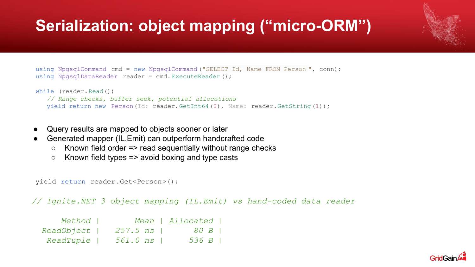# **Serialization: object mapping ("micro-ORM")**

```
using NpgsqlCommand cmd = new NpgsqlCommand ("SELECT Id, Name FROM Person", conn);
using NpgsqlDataReader reader = cmd. ExecuteReader ();
while (reader.Read())
    // Range checks, buffer seek, potential allocations
    yield return new Person(Id: reader.GetInt64(0), Name: reader.GetString(1));
```
- Query results are mapped to objects sooner or later
- Generated mapper (IL.Emit) can outperform handcrafted code
	- $\circ$  Known field order => read sequentially without range checks
	- $\circ$  Known field types => avoid boxing and type casts

```
yield return reader.Get<Person>();
```
*// Ignite.NET 3 object mapping (IL.Emit) vs hand-coded data reader*

| Method           |            | Mean   Allocated |  |
|------------------|------------|------------------|--|
| ReadObject       | $257.5$ ns | 80 B I           |  |
| <i>ReadTuple</i> | 561.0 ns   | 536 B            |  |

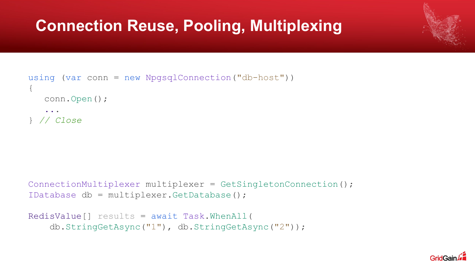### **Connection Reuse, Pooling, Multiplexing**

```
using (var conn = new NpgsqlConnection("db-host"))
{
    conn.Open();
 ...
} // Close
```

```
ConnectionMultiplexer multiplexer = GetSingletonConnection();
IDatabase db = multiplexer.GetDatabase();
```

```
RedisValue[] results = await Task.WhenAll(
     db.StringGetAsync("1"), db.StringGetAsync("2"));
```
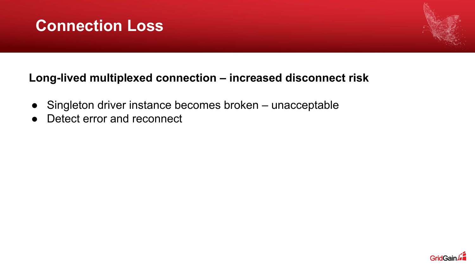



#### **Long-lived multiplexed connection – increased disconnect risk**

- Singleton driver instance becomes broken unacceptable
- Detect error and reconnect

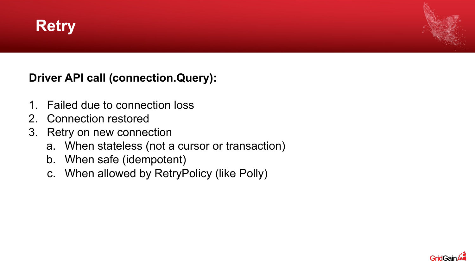



**Driver API call (connection.Query):**

- 1. Failed due to connection loss
- 2. Connection restored
- 3. Retry on new connection
	- a. When stateless (not a cursor or transaction)
	- b. When safe (idempotent)
	- c. When allowed by RetryPolicy (like Polly)

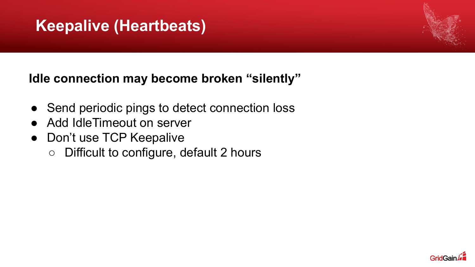### **Keepalive (Heartbeats)**

#### **Idle connection may become broken "silently"**

- Send periodic pings to detect connection loss
- Add IdleTimeout on server
- Don't use TCP Keepalive
	- Difficult to configure, default 2 hours

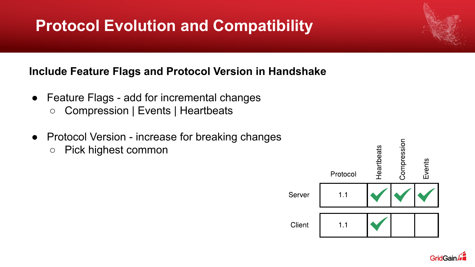# **Protocol Evolution and Compatibility**

#### **Include Feature Flags and Protocol Version in Handshake**

- Feature Flags add for incremental changes ○ Compression | Events | Heartbeats
- Protocol Version increase for breaking changes ○ Pick highest common



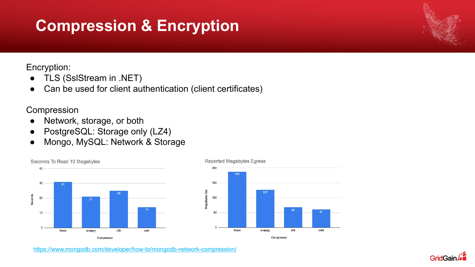### **Compression & Encryption**

Encryption:

- TLS (SslStream in .NET)
- Can be used for client authentication (client certificates)

Compression

- Network, storage, or both
- PostgreSQL: Storage only (LZ4)
- Mongo, MySQL: Network & Storage





<https://www.mongodb.com/developer/how-to/mongodb-network-compression/>



#### Reported Megabytes Egress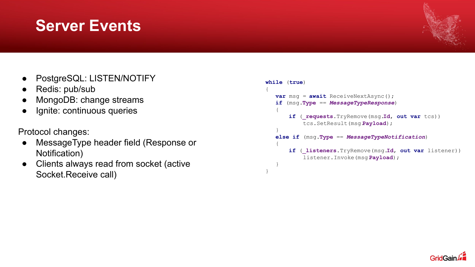#### ● PostgreSQL: LISTEN/NOTIFY

**Server Events**

- Redis: pub/sub
- MongoDB: change streams
- Ignite: continuous queries

#### Protocol changes:

- MessageType header field (Response or Notification)
- Clients always read from socket (active Socket.Receive call)

#### **while** (**true**) { **var** msg = **await** ReceiveNextAsync(); **if** (msg.**Type** == *MessageTypeResponse*) { **if** (**\_requests**.TryRemove(msg.**Id**, **out var** tcs)) tcs.SetResult(msg.**Payload**); } **else if** (msg.**Type** == *MessageTypeNotification*) { **if** (**\_listeners**.TryRemove(msg.**Id**, **out var** listener)) listener.Invoke(msg.**Payload**); } }

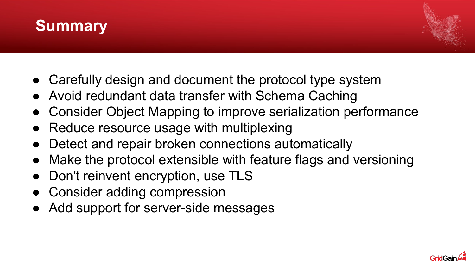



- Carefully design and document the protocol type system
- Avoid redundant data transfer with Schema Caching
- Consider Object Mapping to improve serialization performance
- Reduce resource usage with multiplexing
- Detect and repair broken connections automatically
- Make the protocol extensible with feature flags and versioning
- Don't reinvent encryption, use TLS
- Consider adding compression
- Add support for server-side messages